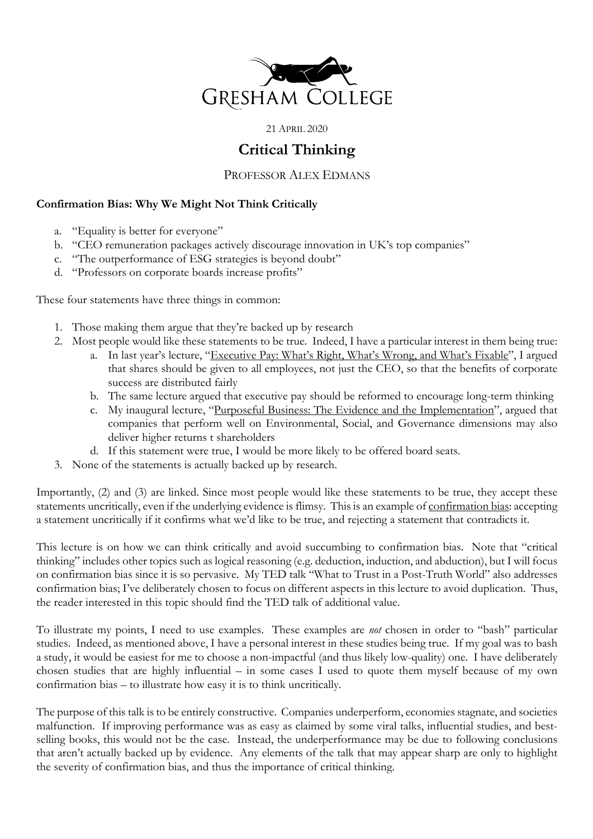

21 APRIL 2020

# **Critical Thinking**

PROFESSOR ALEX EDMANS

# **Confirmation Bias: Why We Might Not Think Critically**

- a. "Equality is better for everyone"
- b. "CEO remuneration packages actively discourage innovation in UK's top companies"
- c. "The outperformance of ESG strategies is beyond doubt"
- d. "Professors on corporate boards increase profits"

These four statements have three things in common:

- 1. Those making them argue that they're backed up by research
- 2. Most people would like these statements to be true. Indeed, I have a particular interest in them being true:
	- a. In last year's lecture, "Executive Pay: What's Right, What's Wrong, and What's Fixable", I argued that shares should be given to all employees, not just the CEO, so that the benefits of corporate success are distributed fairly
	- b. The same lecture argued that executive pay should be reformed to encourage long-term thinking
	- c. My inaugural lecture, "Purposeful Business: The Evidence and the Implementation", argued that companies that perform well on Environmental, Social, and Governance dimensions may also deliver higher returns t shareholders
	- d. If this statement were true, I would be more likely to be offered board seats.
- 3. None of the statements is actually backed up by research.

Importantly, (2) and (3) are linked. Since most people would like these statements to be true, they accept these statements uncritically, even if the underlying evidence is flimsy. This is an example of confirmation bias: accepting a statement uncritically if it confirms what we'd like to be true, and rejecting a statement that contradicts it.

This lecture is on how we can think critically and avoid succumbing to confirmation bias. Note that "critical thinking" includes other topics such as logical reasoning (e.g. deduction, induction, and abduction), but I will focus on confirmation bias since it is so pervasive. My TED talk "What to Trust in a Post-Truth World" also addresses confirmation bias; I've deliberately chosen to focus on different aspects in this lecture to avoid duplication. Thus, the reader interested in this topic should find the TED talk of additional value.

To illustrate my points, I need to use examples. These examples are *not* chosen in order to "bash" particular studies. Indeed, as mentioned above, I have a personal interest in these studies being true. If my goal was to bash a study, it would be easiest for me to choose a non-impactful (and thus likely low-quality) one. I have deliberately chosen studies that are highly influential – in some cases I used to quote them myself because of my own confirmation bias – to illustrate how easy it is to think uncritically.

The purpose of this talk is to be entirely constructive. Companies underperform, economies stagnate, and societies malfunction. If improving performance was as easy as claimed by some viral talks, influential studies, and bestselling books, this would not be the case. Instead, the underperformance may be due to following conclusions that aren't actually backed up by evidence. Any elements of the talk that may appear sharp are only to highlight the severity of confirmation bias, and thus the importance of critical thinking.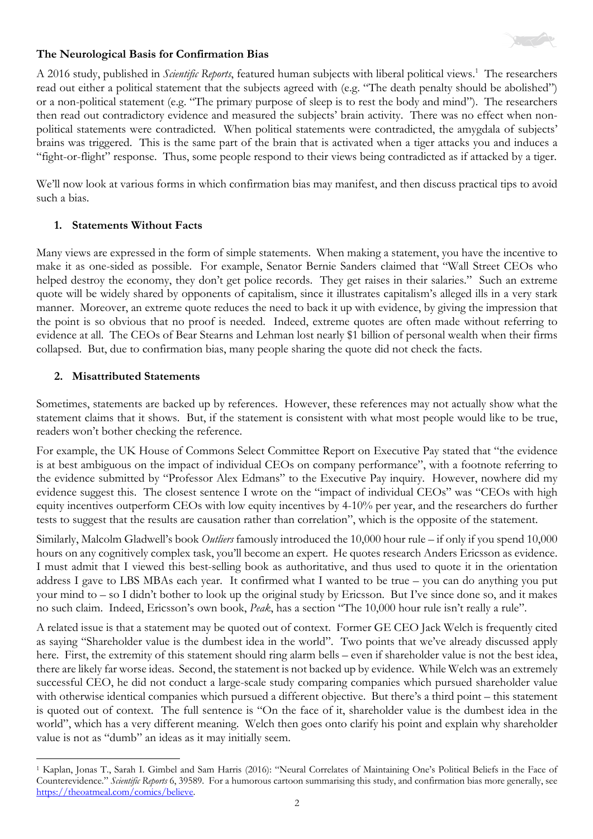

#### **The Neurological Basis for Confirmation Bias**

A 2016 study, published in *Scientific Reports*, featured human subjects with liberal political views. 1 The researchers read out either a political statement that the subjects agreed with (e.g. "The death penalty should be abolished") or a non-political statement (e.g. "The primary purpose of sleep is to rest the body and mind"). The researchers then read out contradictory evidence and measured the subjects' brain activity. There was no effect when nonpolitical statements were contradicted. When political statements were contradicted, the amygdala of subjects' brains was triggered. This is the same part of the brain that is activated when a tiger attacks you and induces a "fight-or-flight" response. Thus, some people respond to their views being contradicted as if attacked by a tiger.

We'll now look at various forms in which confirmation bias may manifest, and then discuss practical tips to avoid such a bias.

## **1. Statements Without Facts**

Many views are expressed in the form of simple statements. When making a statement, you have the incentive to make it as one-sided as possible. For example, Senator Bernie Sanders claimed that "Wall Street CEOs who helped destroy the economy, they don't get police records. They get raises in their salaries." Such an extreme quote will be widely shared by opponents of capitalism, since it illustrates capitalism's alleged ills in a very stark manner. Moreover, an extreme quote reduces the need to back it up with evidence, by giving the impression that the point is so obvious that no proof is needed. Indeed, extreme quotes are often made without referring to evidence at all. The CEOs of Bear Stearns and Lehman lost nearly \$1 billion of personal wealth when their firms collapsed. But, due to confirmation bias, many people sharing the quote did not check the facts.

## **2. Misattributed Statements**

Sometimes, statements are backed up by references. However, these references may not actually show what the statement claims that it shows. But, if the statement is consistent with what most people would like to be true, readers won't bother checking the reference.

For example, the UK House of Commons Select Committee Report on Executive Pay stated that "the evidence is at best ambiguous on the impact of individual CEOs on company performance", with a footnote referring to the evidence submitted by "Professor Alex Edmans" to the Executive Pay inquiry. However, nowhere did my evidence suggest this. The closest sentence I wrote on the "impact of individual CEOs" was "CEOs with high equity incentives outperform CEOs with low equity incentives by 4-10% per year, and the researchers do further tests to suggest that the results are causation rather than correlation", which is the opposite of the statement.

Similarly, Malcolm Gladwell's book *Outliers* famously introduced the 10,000 hour rule – if only if you spend 10,000 hours on any cognitively complex task, you'll become an expert. He quotes research Anders Ericsson as evidence. I must admit that I viewed this best-selling book as authoritative, and thus used to quote it in the orientation address I gave to LBS MBAs each year. It confirmed what I wanted to be true – you can do anything you put your mind to – so I didn't bother to look up the original study by Ericsson. But I've since done so, and it makes no such claim. Indeed, Ericsson's own book, *Peak*, has a section "The 10,000 hour rule isn't really a rule".

A related issue is that a statement may be quoted out of context. Former GE CEO Jack Welch is frequently cited as saying "Shareholder value is the dumbest idea in the world". Two points that we've already discussed apply here. First, the extremity of this statement should ring alarm bells – even if shareholder value is not the best idea, there are likely far worse ideas. Second, the statement is not backed up by evidence. While Welch was an extremely successful CEO, he did not conduct a large-scale study comparing companies which pursued shareholder value with otherwise identical companies which pursued a different objective. But there's a third point – this statement is quoted out of context. The full sentence is "On the face of it, shareholder value is the dumbest idea in the world", which has a very different meaning. Welch then goes onto clarify his point and explain why shareholder value is not as "dumb" an ideas as it may initially seem.

<sup>1</sup> Kaplan, Jonas T., Sarah I. Gimbel and Sam Harris (2016): "Neural Correlates of Maintaining One's Political Beliefs in the Face of Counterevidence." *Scientific Reports* 6, 39589. For a humorous cartoon summarising this study, and confirmation bias more generally, see https://theoatmeal.com/comics/believe.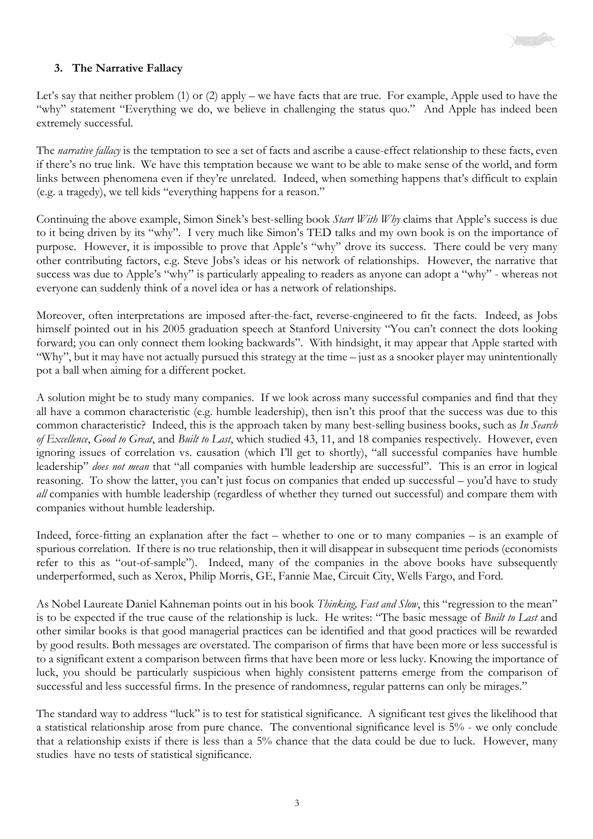

## **3. The Narrative Fallacy**

Let's say that neither problem (1) or (2) apply – we have facts that are true. For example, Apple used to have the "why" statement "Everything we do, we believe in challenging the status quo." And Apple has indeed been extremely successful.

The *narrative fallacy* is the temptation to see a set of facts and ascribe a cause-effect relationship to these facts, even if there's no true link. We have this temptation because we want to be able to make sense of the world, and form links between phenomena even if they're unrelated. Indeed, when something happens that's difficult to explain (e.g. a tragedy), we tell kids "everything happens for a reason."

Continuing the above example, Simon Sinek's best-selling book *Start With Why* claims that Apple's success is due to it being driven by its "why". I very much like Simon's TED talks and my own book is on the importance of purpose. However, it is impossible to prove that Apple's "why" drove its success. There could be very many other contributing factors, e.g. Steve Jobs's ideas or his network of relationships. However, the narrative that success was due to Apple's "why" is particularly appealing to readers as anyone can adopt a "why" - whereas not everyone can suddenly think of a novel idea or has a network of relationships.

Moreover, often interpretations are imposed after-the-fact, reverse-engineered to fit the facts. Indeed, as Jobs himself pointed out in his 2005 graduation speech at Stanford University "You can't connect the dots looking forward; you can only connect them looking backwards". With hindsight, it may appear that Apple started with "Why", but it may have not actually pursued this strategy at the time – just as a snooker player may unintentionally pot a ball when aiming for a different pocket.

A solution might be to study many companies. If we look across many successful companies and find that they all have a common characteristic (e.g. humble leadership), then isn't this proof that the success was due to this common characteristic? Indeed, this is the approach taken by many best-selling business books, such as *In Search of Excellence*, *Good to Great*, and *Built to Last*, which studied 43, 11, and 18 companies respectively. However, even ignoring issues of correlation vs. causation (which I'll get to shortly), "all successful companies have humble leadership" *does not mean* that "all companies with humble leadership are successful". This is an error in logical reasoning. To show the latter, you can't just focus on companies that ended up successful – you'd have to study *all* companies with humble leadership (regardless of whether they turned out successful) and compare them with companies without humble leadership.

Indeed, force-fitting an explanation after the fact – whether to one or to many companies – is an example of spurious correlation. If there is no true relationship, then it will disappear in subsequent time periods (economists refer to this as "out-of-sample"). Indeed, many of the companies in the above books have subsequently underperformed, such as Xerox, Philip Morris, GE, Fannie Mae, Circuit City, Wells Fargo, and Ford.

As Nobel Laureate Daniel Kahneman points out in his book *Thinking, Fast and Slow*, this "regression to the mean" is to be expected if the true cause of the relationship is luck. He writes: "The basic message of *Built to Last* and other similar books is that good managerial practices can be identified and that good practices will be rewarded by good results. Both messages are overstated. The comparison of firms that have been more or less successful is to a significant extent a comparison between firms that have been more or less lucky. Knowing the importance of luck, you should be particularly suspicious when highly consistent patterns emerge from the comparison of successful and less successful firms. In the presence of randomness, regular patterns can only be mirages."

The standard way to address "luck" is to test for statistical significance. A significant test gives the likelihood that a statistical relationship arose from pure chance. The conventional significance level is 5% - we only conclude that a relationship exists if there is less than a 5% chance that the data could be due to luck. However, many studies have no tests of statistical significance.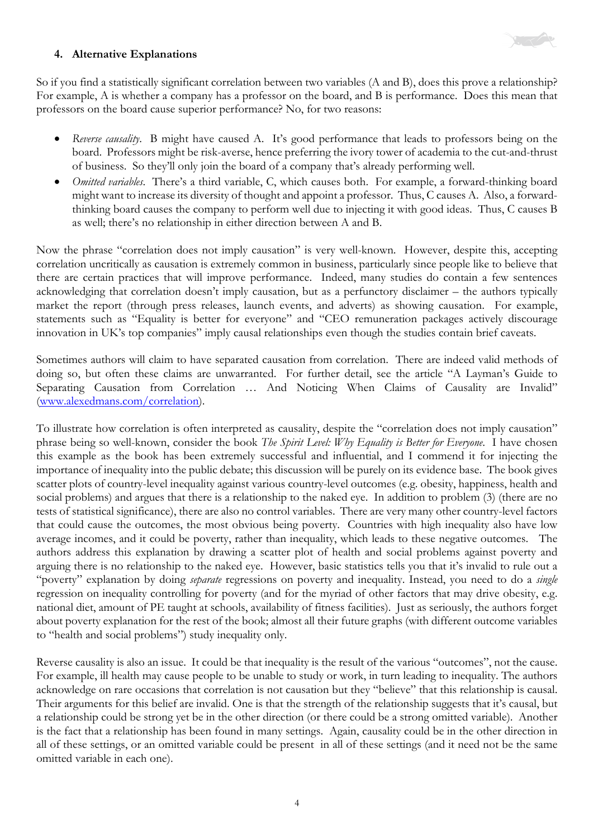

## **4. Alternative Explanations**

So if you find a statistically significant correlation between two variables (A and B), does this prove a relationship? For example, A is whether a company has a professor on the board, and B is performance. Does this mean that professors on the board cause superior performance? No, for two reasons:

- *Reverse causality*. B might have caused A. It's good performance that leads to professors being on the board. Professors might be risk-averse, hence preferring the ivory tower of academia to the cut-and-thrust of business. So they'll only join the board of a company that's already performing well.
- *Omitted variables*. There's a third variable, C, which causes both. For example, a forward-thinking board might want to increase its diversity of thought and appoint a professor. Thus, C causes A. Also, a forwardthinking board causes the company to perform well due to injecting it with good ideas. Thus, C causes B as well; there's no relationship in either direction between A and B.

Now the phrase "correlation does not imply causation" is very well-known. However, despite this, accepting correlation uncritically as causation is extremely common in business, particularly since people like to believe that there are certain practices that will improve performance. Indeed, many studies do contain a few sentences acknowledging that correlation doesn't imply causation, but as a perfunctory disclaimer – the authors typically market the report (through press releases, launch events, and adverts) as showing causation. For example, statements such as "Equality is better for everyone" and "CEO remuneration packages actively discourage innovation in UK's top companies" imply causal relationships even though the studies contain brief caveats.

Sometimes authors will claim to have separated causation from correlation. There are indeed valid methods of doing so, but often these claims are unwarranted. For further detail, see the article "A Layman's Guide to Separating Causation from Correlation … And Noticing When Claims of Causality are Invalid" (www.alexedmans.com/correlation).

To illustrate how correlation is often interpreted as causality, despite the "correlation does not imply causation" phrase being so well-known, consider the book *The Spirit Level: Why Equality is Better for Everyone*. I have chosen this example as the book has been extremely successful and influential, and I commend it for injecting the importance of inequality into the public debate; this discussion will be purely on its evidence base. The book gives scatter plots of country-level inequality against various country-level outcomes (e.g. obesity, happiness, health and social problems) and argues that there is a relationship to the naked eye. In addition to problem (3) (there are no tests of statistical significance), there are also no control variables. There are very many other country-level factors that could cause the outcomes, the most obvious being poverty. Countries with high inequality also have low average incomes, and it could be poverty, rather than inequality, which leads to these negative outcomes. The authors address this explanation by drawing a scatter plot of health and social problems against poverty and arguing there is no relationship to the naked eye. However, basic statistics tells you that it's invalid to rule out a "poverty" explanation by doing *separate* regressions on poverty and inequality. Instead, you need to do a *single* regression on inequality controlling for poverty (and for the myriad of other factors that may drive obesity, e.g. national diet, amount of PE taught at schools, availability of fitness facilities). Just as seriously, the authors forget about poverty explanation for the rest of the book; almost all their future graphs (with different outcome variables to "health and social problems") study inequality only.

Reverse causality is also an issue. It could be that inequality is the result of the various "outcomes", not the cause. For example, ill health may cause people to be unable to study or work, in turn leading to inequality. The authors acknowledge on rare occasions that correlation is not causation but they "believe" that this relationship is causal. Their arguments for this belief are invalid. One is that the strength of the relationship suggests that it's causal, but a relationship could be strong yet be in the other direction (or there could be a strong omitted variable). Another is the fact that a relationship has been found in many settings. Again, causality could be in the other direction in all of these settings, or an omitted variable could be present in all of these settings (and it need not be the same omitted variable in each one).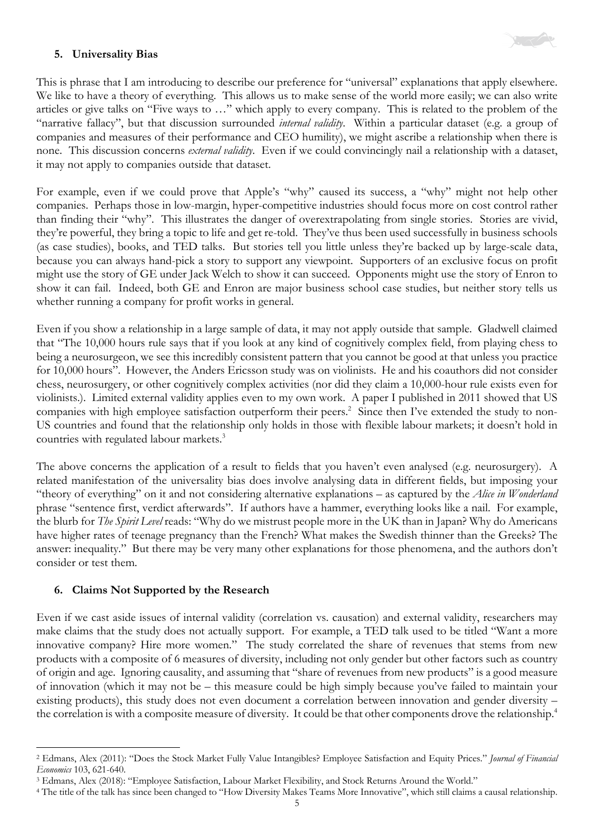

## **5. Universality Bias**

This is phrase that I am introducing to describe our preference for "universal" explanations that apply elsewhere. We like to have a theory of everything. This allows us to make sense of the world more easily; we can also write articles or give talks on "Five ways to …" which apply to every company. This is related to the problem of the "narrative fallacy", but that discussion surrounded *internal validity*. Within a particular dataset (e.g. a group of companies and measures of their performance and CEO humility), we might ascribe a relationship when there is none. This discussion concerns *external validity*. Even if we could convincingly nail a relationship with a dataset, it may not apply to companies outside that dataset.

For example, even if we could prove that Apple's "why" caused its success, a "why" might not help other companies. Perhaps those in low-margin, hyper-competitive industries should focus more on cost control rather than finding their "why". This illustrates the danger of overextrapolating from single stories. Stories are vivid, they're powerful, they bring a topic to life and get re-told. They've thus been used successfully in business schools (as case studies), books, and TED talks. But stories tell you little unless they're backed up by large-scale data, because you can always hand-pick a story to support any viewpoint. Supporters of an exclusive focus on profit might use the story of GE under Jack Welch to show it can succeed. Opponents might use the story of Enron to show it can fail. Indeed, both GE and Enron are major business school case studies, but neither story tells us whether running a company for profit works in general.

Even if you show a relationship in a large sample of data, it may not apply outside that sample. Gladwell claimed that "The 10,000 hours rule says that if you look at any kind of cognitively complex field, from playing chess to being a neurosurgeon, we see this incredibly consistent pattern that you cannot be good at that unless you practice for 10,000 hours". However, the Anders Ericsson study was on violinists. He and his coauthors did not consider chess, neurosurgery, or other cognitively complex activities (nor did they claim a 10,000-hour rule exists even for violinists.). Limited external validity applies even to my own work. A paper I published in 2011 showed that US companies with high employee satisfaction outperform their peers.<sup>2</sup> Since then I've extended the study to non-US countries and found that the relationship only holds in those with flexible labour markets; it doesn't hold in countries with regulated labour markets.<sup>3</sup>

The above concerns the application of a result to fields that you haven't even analysed (e.g. neurosurgery). A related manifestation of the universality bias does involve analysing data in different fields, but imposing your "theory of everything" on it and not considering alternative explanations – as captured by the *Alice in Wonderland* phrase "sentence first, verdict afterwards". If authors have a hammer, everything looks like a nail. For example, the blurb for *The Spirit Level* reads: "Why do we mistrust people more in the UK than in Japan? Why do Americans have higher rates of teenage pregnancy than the French? What makes the Swedish thinner than the Greeks? The answer: inequality." But there may be very many other explanations for those phenomena, and the authors don't consider or test them.

#### **6. Claims Not Supported by the Research**

Even if we cast aside issues of internal validity (correlation vs. causation) and external validity, researchers may make claims that the study does not actually support. For example, a TED talk used to be titled "Want a more innovative company? Hire more women." The study correlated the share of revenues that stems from new products with a composite of 6 measures of diversity, including not only gender but other factors such as country of origin and age. Ignoring causality, and assuming that "share of revenues from new products" is a good measure of innovation (which it may not be – this measure could be high simply because you've failed to maintain your existing products), this study does not even document a correlation between innovation and gender diversity – the correlation is with a composite measure of diversity. It could be that other components drove the relationship.<sup>4</sup>

<sup>2</sup> Edmans, Alex (2011): "Does the Stock Market Fully Value Intangibles? Employee Satisfaction and Equity Prices." *Journal of Financial Economics* 103, 621-640.

<sup>3</sup> Edmans, Alex (2018): "Employee Satisfaction, Labour Market Flexibility, and Stock Returns Around the World."

<sup>4</sup> The title of the talk has since been changed to "How Diversity Makes Teams More Innovative", which still claims a causal relationship.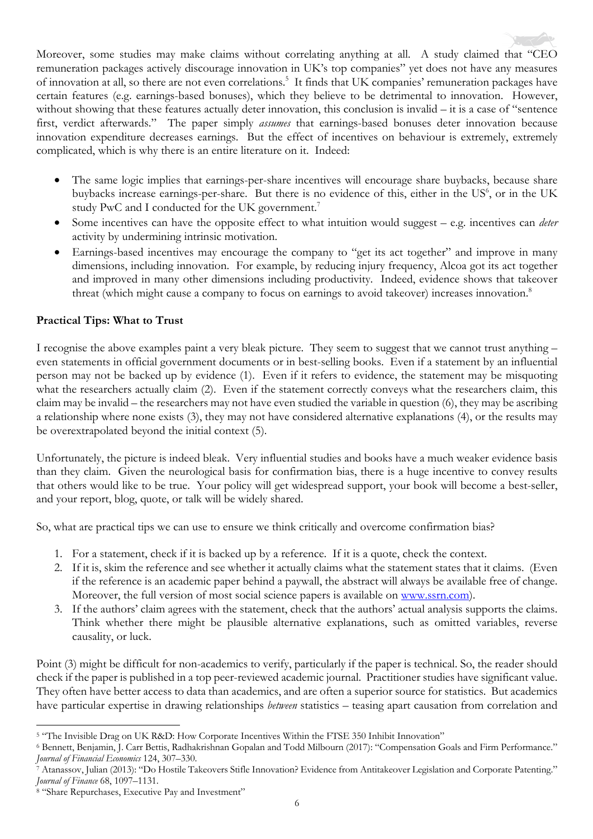Moreover, some studies may make claims without correlating anything at all. A study claimed that "CEO remuneration packages actively discourage innovation in UK's top companies" yet does not have any measures of innovation at all, so there are not even correlations.<sup>5</sup> It finds that UK companies' remuneration packages have certain features (e.g. earnings-based bonuses), which they believe to be detrimental to innovation. However, without showing that these features actually deter innovation, this conclusion is invalid – it is a case of "sentence" first, verdict afterwards." The paper simply *assumes* that earnings-based bonuses deter innovation because innovation expenditure decreases earnings. But the effect of incentives on behaviour is extremely, extremely complicated, which is why there is an entire literature on it. Indeed:

- The same logic implies that earnings-per-share incentives will encourage share buybacks, because share buybacks increase earnings-per-share. But there is no evidence of this, either in the US<sup>6</sup>, or in the UK study PwC and I conducted for the UK government.<sup>7</sup>
- Some incentives can have the opposite effect to what intuition would suggest e.g. incentives can *deter* activity by undermining intrinsic motivation.
- Earnings-based incentives may encourage the company to "get its act together" and improve in many dimensions, including innovation. For example, by reducing injury frequency, Alcoa got its act together and improved in many other dimensions including productivity. Indeed, evidence shows that takeover threat (which might cause a company to focus on earnings to avoid takeover) increases innovation.<sup>8</sup>

## **Practical Tips: What to Trust**

I recognise the above examples paint a very bleak picture. They seem to suggest that we cannot trust anything – even statements in official government documents or in best-selling books. Even if a statement by an influential person may not be backed up by evidence (1). Even if it refers to evidence, the statement may be misquoting what the researchers actually claim (2). Even if the statement correctly conveys what the researchers claim, this claim may be invalid – the researchers may not have even studied the variable in question (6), they may be ascribing a relationship where none exists (3), they may not have considered alternative explanations (4), or the results may be overextrapolated beyond the initial context (5).

Unfortunately, the picture is indeed bleak. Very influential studies and books have a much weaker evidence basis than they claim. Given the neurological basis for confirmation bias, there is a huge incentive to convey results that others would like to be true. Your policy will get widespread support, your book will become a best-seller, and your report, blog, quote, or talk will be widely shared.

So, what are practical tips we can use to ensure we think critically and overcome confirmation bias?

- 1. For a statement, check if it is backed up by a reference. If it is a quote, check the context.
- 2. If it is, skim the reference and see whether it actually claims what the statement states that it claims. (Even if the reference is an academic paper behind a paywall, the abstract will always be available free of change. Moreover, the full version of most social science papers is available on www.ssrn.com).
- 3. If the authors' claim agrees with the statement, check that the authors' actual analysis supports the claims. Think whether there might be plausible alternative explanations, such as omitted variables, reverse causality, or luck.

Point (3) might be difficult for non-academics to verify, particularly if the paper is technical. So, the reader should check if the paper is published in a top peer-reviewed academic journal. Practitioner studies have significant value. They often have better access to data than academics, and are often a superior source for statistics. But academics have particular expertise in drawing relationships *between* statistics – teasing apart causation from correlation and

<sup>5</sup> "The Invisible Drag on UK R&D: How Corporate Incentives Within the FTSE 350 Inhibit Innovation"

<sup>6</sup> Bennett, Benjamin, J. Carr Bettis, Radhakrishnan Gopalan and Todd Milbourn (2017): "Compensation Goals and Firm Performance." *Journal of Financial Economics* 124, 307–330.

<sup>7</sup> Atanassov, Julian (2013): "Do Hostile Takeovers Stifle Innovation? Evidence from Antitakeover Legislation and Corporate Patenting." *Journal of Finance* 68, 1097–1131.

<sup>8</sup> "Share Repurchases, Executive Pay and Investment"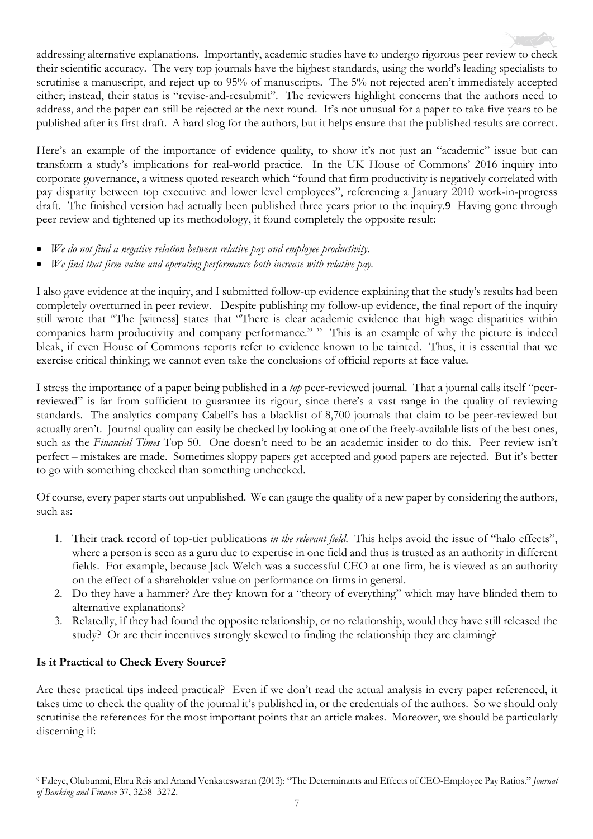addressing alternative explanations. Importantly, academic studies have to undergo rigorous peer review to check their scientific accuracy. The very top journals have the highest standards, using the world's leading specialists to scrutinise a manuscript, and reject up to 95% of manuscripts. The 5% not rejected aren't immediately accepted either; instead, their status is "revise-and-resubmit". The reviewers highlight concerns that the authors need to address, and the paper can still be rejected at the next round. It's not unusual for a paper to take five years to be published after its first draft. A hard slog for the authors, but it helps ensure that the published results are correct.

Here's an example of the importance of evidence quality, to show it's not just an "academic" issue but can transform a study's implications for real-world practice. In the UK House of Commons' 2016 inquiry into corporate governance, a witness quoted research which "found that firm productivity is negatively correlated with pay disparity between top executive and lower level employees", referencing a January 2010 work-in-progress draft. The finished version had actually been published three years prior to the inquiry.9 Having gone through peer review and tightened up its methodology, it found completely the opposite result:

- *We do not find a negative relation between relative pay and employee productivity.*
- *We find that firm value and operating performance both increase with relative pay.*

I also gave evidence at the inquiry, and I submitted follow-up evidence explaining that the study's results had been completely overturned in peer review. Despite publishing my follow-up evidence, the final report of the inquiry still wrote that "The [witness] states that "There is clear academic evidence that high wage disparities within companies harm productivity and company performance." " This is an example of why the picture is indeed bleak, if even House of Commons reports refer to evidence known to be tainted. Thus, it is essential that we exercise critical thinking; we cannot even take the conclusions of official reports at face value.

I stress the importance of a paper being published in a *top* peer-reviewed journal. That a journal calls itself "peerreviewed" is far from sufficient to guarantee its rigour, since there's a vast range in the quality of reviewing standards. The analytics company Cabell's has a blacklist of 8,700 journals that claim to be peer-reviewed but actually aren't. Journal quality can easily be checked by looking at one of the freely-available lists of the best ones, such as the *Financial Times* Top 50. One doesn't need to be an academic insider to do this. Peer review isn't perfect – mistakes are made. Sometimes sloppy papers get accepted and good papers are rejected. But it's better to go with something checked than something unchecked.

Of course, every paper starts out unpublished. We can gauge the quality of a new paper by considering the authors, such as:

- 1. Their track record of top-tier publications *in the relevant field*. This helps avoid the issue of "halo effects", where a person is seen as a guru due to expertise in one field and thus is trusted as an authority in different fields. For example, because Jack Welch was a successful CEO at one firm, he is viewed as an authority on the effect of a shareholder value on performance on firms in general.
- 2. Do they have a hammer? Are they known for a "theory of everything" which may have blinded them to alternative explanations?
- 3. Relatedly, if they had found the opposite relationship, or no relationship, would they have still released the study? Or are their incentives strongly skewed to finding the relationship they are claiming?

## **Is it Practical to Check Every Source?**

Are these practical tips indeed practical? Even if we don't read the actual analysis in every paper referenced, it takes time to check the quality of the journal it's published in, or the credentials of the authors. So we should only scrutinise the references for the most important points that an article makes. Moreover, we should be particularly discerning if:

<sup>9</sup> Faleye, Olubunmi, Ebru Reis and Anand Venkateswaran (2013): "The Determinants and Effects of CEO-Employee Pay Ratios." *Journal of Banking and Finance* 37, 3258–3272.